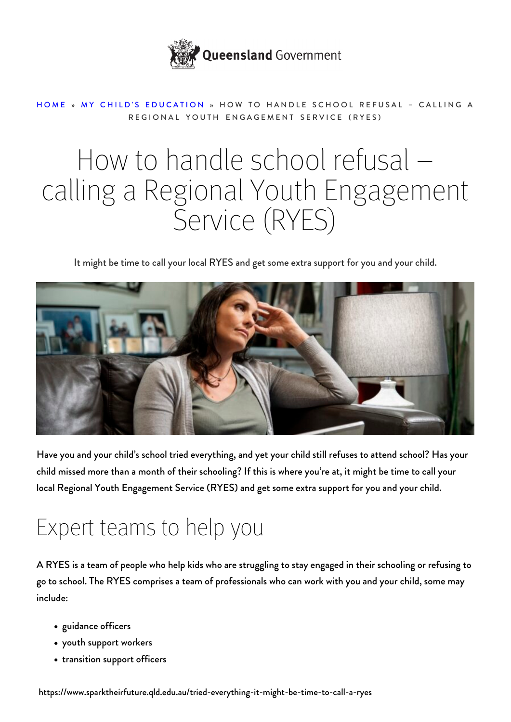

#### [HOME](https://www.sparktheirfuture.qld.edu.au/) » [MY CHILD'S EDUCATION](https://www.sparktheirfuture.qld.edu.au/category/my-childs-school/) » HOW TO HANDLE SCHOOL REFUSAL – CALLING A REGIONAL YOUTH ENGAGEMENT SERVICE (RYES)

# How to handle school refusal – calling a Regional Youth Engagement Service (RYES)

It might be time to call your local RYES and get some extra support for you and your child.



Have you and your child's school tried everything, and yet your child still refuses to attend school? Has your child missed more than a month of their schooling? If this is where you're at, it might be time to call your local Regional Youth Engagement Service (RYES) and get some extra support for you and your child.

## Expert teams to help you

A RYES is a team of people who help kids who are struggling to stay engaged in their schooling or refusing to go to school. The RYES comprises a team of professionals who can work with you and your child, some may include:

- guidance officers
- youth support workers
- transition support officers

https://www.sparktheirfuture.qld.edu.au/tried-everything-it-might-be-time-to-call-a-ryes